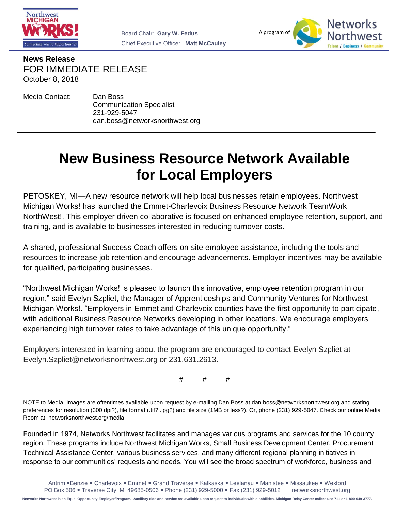



**News Release** FOR IMMEDIATE RELEASE October 8, 2018

Media Contact: Dan Boss

Communication Specialist 231-929-5047 dan.boss@networksnorthwest.org

## **New Business Resource Network Available for Local Employers**

PETOSKEY, MI—A new resource network will help local businesses retain employees. Northwest Michigan Works! has launched the Emmet-Charlevoix Business Resource Network TeamWork NorthWest!. This employer driven collaborative is focused on enhanced employee retention, support, and training, and is available to businesses interested in reducing turnover costs.

A shared, professional Success Coach offers on-site employee assistance, including the tools and resources to increase job retention and encourage advancements. Employer incentives may be available for qualified, participating businesses.

"Northwest Michigan Works! is pleased to launch this innovative, employee retention program in our region," said Evelyn Szpliet, the Manager of Apprenticeships and Community Ventures for Northwest Michigan Works!. "Employers in Emmet and Charlevoix counties have the first opportunity to participate, with additional Business Resource Networks developing in other locations. We encourage employers experiencing high turnover rates to take advantage of this unique opportunity."

Employers interested in learning about the program are encouraged to contact Evelyn Szpliet at Evelyn.Szpliet@networksnorthwest.org or 231.631.2613.

# # #

NOTE to Media: Images are oftentimes available upon request by e-mailing Dan Boss at dan.boss@networksnorthwest.org and stating preferences for resolution (300 dpi?), file format (.tif? .jpg?) and file size (1MB or less?). Or, phone (231) 929-5047. Check our online Media Room at: networksnorthwest.org/media

Founded in 1974, Networks Northwest facilitates and manages various programs and services for the 10 county region. These programs include Northwest Michigan Works, Small Business Development Center, Procurement Technical Assistance Center, various business services, and many different regional planning initiatives in response to our communities' requests and needs. You will see the broad spectrum of workforce, business and

Antrim •Benzie • Charlevoix • Emmet • Grand Traverse • Kalkaska • Leelanau • Manistee • Missaukee • Wexford PO Box 506 Traverse City, MI 49685-0506 Phone (231) 929-5000 Fax (231) 929-5012 networksnorthwest.org